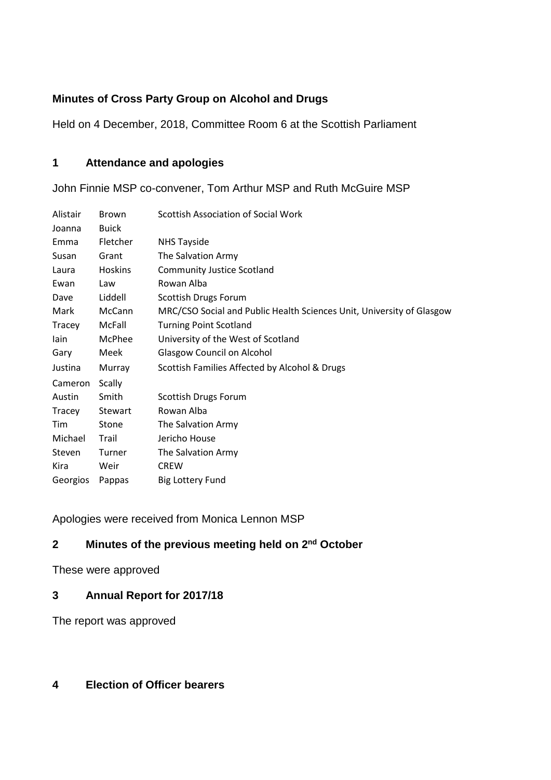# **Minutes of Cross Party Group on Alcohol and Drugs**

Held on 4 December, 2018, Committee Room 6 at the Scottish Parliament

# **1 Attendance and apologies**

John Finnie MSP co-convener, Tom Arthur MSP and Ruth McGuire MSP

| Alistair | <b>Brown</b> | <b>Scottish Association of Social Work</b>                            |
|----------|--------------|-----------------------------------------------------------------------|
| Joanna   | <b>Buick</b> |                                                                       |
| Emma     | Fletcher     | <b>NHS Tayside</b>                                                    |
| Susan    | Grant        | The Salvation Army                                                    |
| Laura    | Hoskins      | <b>Community Justice Scotland</b>                                     |
| Ewan     | Law          | Rowan Alba                                                            |
| Dave     | Liddell      | Scottish Drugs Forum                                                  |
| Mark     | McCann       | MRC/CSO Social and Public Health Sciences Unit, University of Glasgow |
| Tracey   | McFall       | <b>Turning Point Scotland</b>                                         |
| lain     | McPhee       | University of the West of Scotland                                    |
| Gary     | Meek         | <b>Glasgow Council on Alcohol</b>                                     |
| Justina  | Murray       | Scottish Families Affected by Alcohol & Drugs                         |
| Cameron  | Scally       |                                                                       |
| Austin   | Smith        | Scottish Drugs Forum                                                  |
| Tracey   | Stewart      | Rowan Alba                                                            |
| Tim      | Stone        | The Salvation Army                                                    |
| Michael  | Trail        | Jericho House                                                         |
| Steven   | Turner       | The Salvation Army                                                    |
| Kira     | Weir         | <b>CREW</b>                                                           |
| Georgios | Pappas       | <b>Big Lottery Fund</b>                                               |

Apologies were received from Monica Lennon MSP

# **2 Minutes of the previous meeting held on 2nd October**

These were approved

## **3 Annual Report for 2017/18**

The report was approved

# **4 Election of Officer bearers**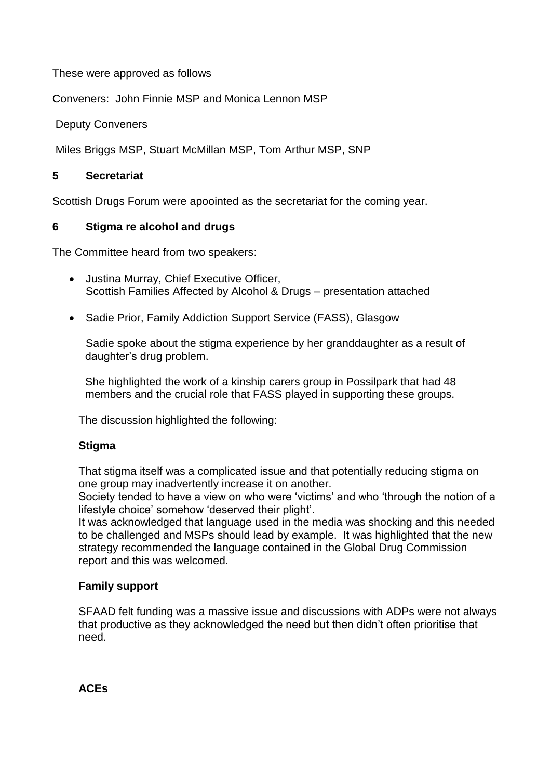These were approved as follows

Conveners: John Finnie MSP and Monica Lennon MSP

Deputy Conveners

Miles Briggs MSP, Stuart McMillan MSP, Tom Arthur MSP, SNP

#### **5 Secretariat**

Scottish Drugs Forum were apoointed as the secretariat for the coming year.

### **6 Stigma re alcohol and drugs**

The Committee heard from two speakers:

- Justina Murray, Chief Executive Officer, Scottish Families Affected by Alcohol & Drugs – presentation attached
- Sadie Prior, Family Addiction Support Service (FASS), Glasgow

Sadie spoke about the stigma experience by her granddaughter as a result of daughter's drug problem.

She highlighted the work of a kinship carers group in Possilpark that had 48 members and the crucial role that FASS played in supporting these groups.

The discussion highlighted the following:

#### **Stigma**

That stigma itself was a complicated issue and that potentially reducing stigma on one group may inadvertently increase it on another.

Society tended to have a view on who were 'victims' and who 'through the notion of a lifestyle choice' somehow 'deserved their plight'.

It was acknowledged that language used in the media was shocking and this needed to be challenged and MSPs should lead by example. It was highlighted that the new strategy recommended the language contained in the Global Drug Commission report and this was welcomed.

#### **Family support**

SFAAD felt funding was a massive issue and discussions with ADPs were not always that productive as they acknowledged the need but then didn't often prioritise that need.

**ACEs**